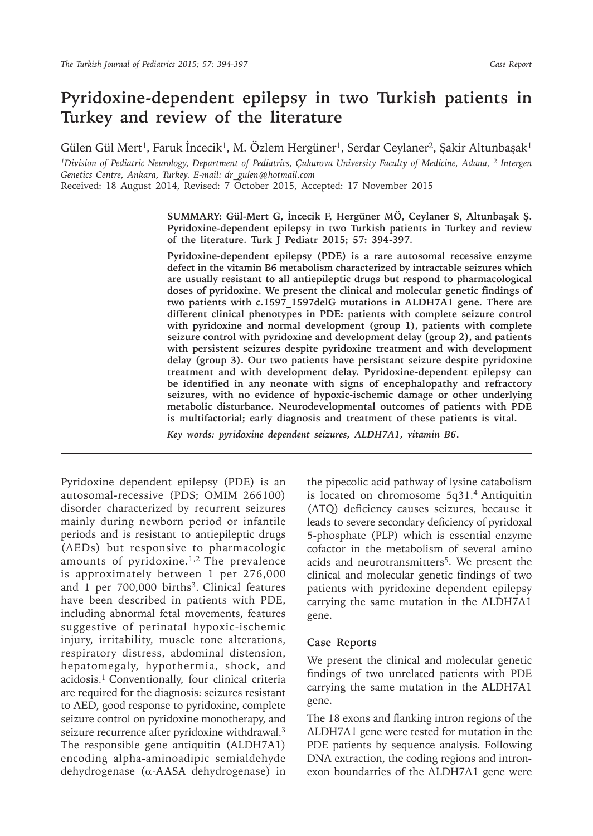# **Pyridoxine-dependent epilepsy in two Turkish patients in Turkey and review of the literature**

Gülen Gül Mert<sup>1</sup>, Faruk İncecik<sup>1</sup>, M. Özlem Hergüner<sup>1</sup>, Serdar Ceylaner<sup>2</sup>, Şakir Altunbaşak<sup>1</sup>

<sup>1</sup>*Division of Pediatric Neurology, Department of Pediatrics, Çukurova University Faculty of Medicine, Adana, <sup>2</sup> Intergen Genetics Centre, Ankara, Turkey. E-mail: dr\_gulen@hotmail.com*

Received: 18 August 2014, Revised: 7 October 2015, Accepted: 17 November 2015

**SUMMARY: Gül-Mert G, İncecik F, Hergüner MÖ, Ceylaner S, Altunbaşak Ş. Pyridoxine-dependent epilepsy in two Turkish patients in Turkey and review of the literature. Turk J Pediatr 2015; 57: 394-397.**

**Pyridoxine-dependent epilepsy (PDE) is a rare autosomal recessive enzyme defect in the vitamin B6 metabolism characterized by intractable seizures which are usually resistant to all antiepileptic drugs but respond to pharmacological doses of pyridoxine. We present the clinical and molecular genetic findings of two patients with c.1597\_1597delG mutations in ALDH7A1 gene. There are different clinical phenotypes in PDE: patients with complete seizure control with pyridoxine and normal development (group 1), patients with complete seizure control with pyridoxine and development delay (group 2), and patients with persistent seizures despite pyridoxine treatment and with development delay (group 3). Our two patients have persistant seizure despite pyridoxine treatment and with development delay. Pyridoxine-dependent epilepsy can be identified in any neonate with signs of encephalopathy and refractory seizures, with no evidence of hypoxic-ischemic damage or other underlying metabolic disturbance. Neurodevelopmental outcomes of patients with PDE is multifactorial; early diagnosis and treatment of these patients is vital.** 

*Key words: pyridoxine dependent seizures, ALDH7A1, vitamin B6*.

Pyridoxine dependent epilepsy (PDE) is an autosomal-recessive (PDS; OMIM 266100) disorder characterized by recurrent seizures mainly during newborn period or infantile periods and is resistant to antiepileptic drugs (AEDs) but responsive to pharmacologic amounts of pyridoxine.1,2 The prevalence is approximately between 1 per 276,000 and 1 per  $700,000$  births<sup>3</sup>. Clinical features have been described in patients with PDE, including abnormal fetal movements, features suggestive of perinatal hypoxic-ischemic injury, irritability, muscle tone alterations, respiratory distress, abdominal distension, hepatomegaly, hypothermia, shock, and acidosis.<sup>1</sup> Conventionally, four clinical criteria are required for the diagnosis: seizures resistant to AED, good response to pyridoxine, complete seizure control on pyridoxine monotherapy, and seizure recurrence after pyridoxine withdrawal.<sup>3</sup> The responsible gene antiquitin (ALDH7A1) encoding alpha-aminoadipic semialdehyde dehydrogenase (α-AASA dehydrogenase) in

the pipecolic acid pathway of lysine catabolism is located on chromosome 5q31.4 Antiquitin (ATQ) deficiency causes seizures, because it leads to severe secondary deficiency of pyridoxal 5-phosphate (PLP) which is essential enzyme cofactor in the metabolism of several amino acids and neurotransmitters<sup>5</sup>. We present the clinical and molecular genetic findings of two patients with pyridoxine dependent epilepsy carrying the same mutation in the ALDH7A1 gene.

#### **Case Reports**

We present the clinical and molecular genetic findings of two unrelated patients with PDE carrying the same mutation in the ALDH7A1 gene.

The 18 exons and flanking intron regions of the ALDH7A1 gene were tested for mutation in the PDE patients by sequence analysis. Following DNA extraction, the coding regions and intronexon boundarries of the ALDH7A1 gene were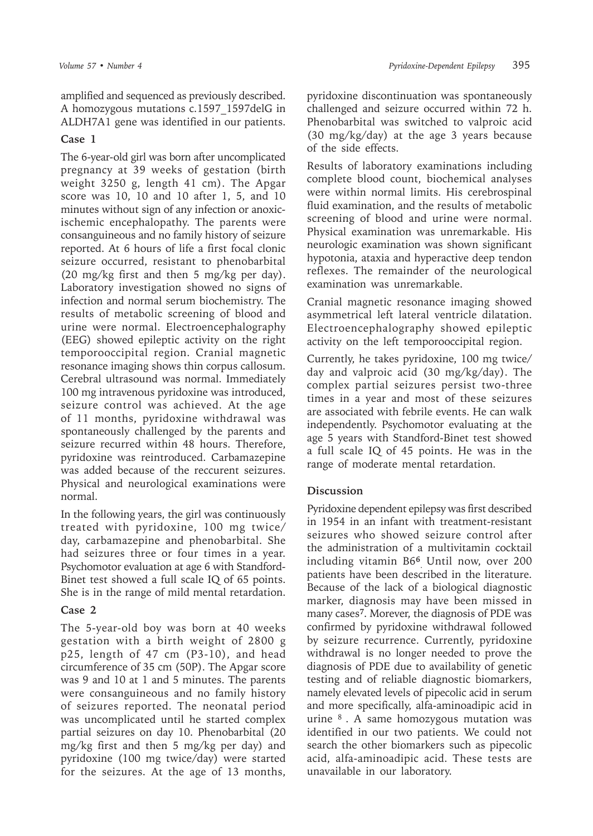amplified and sequenced as previously described. A homozygous mutations c.1597\_1597delG in ALDH7A1 gene was identified in our patients.

### **Case 1**

The 6-year-old girl was born after uncomplicated pregnancy at 39 weeks of gestation (birth weight 3250 g, length 41 cm). The Apgar score was 10, 10 and 10 after 1, 5, and 10 minutes without sign of any infection or anoxicischemic encephalopathy. The parents were consanguineous and no family history of seizure reported. At 6 hours of life a first focal clonic seizure occurred, resistant to phenobarbital (20 mg/kg first and then 5 mg/kg per day). Laboratory investigation showed no signs of infection and normal serum biochemistry. The results of metabolic screening of blood and urine were normal. Electroencephalography (EEG) showed epileptic activity on the right temporooccipital region. Cranial magnetic resonance imaging shows thin corpus callosum. Cerebral ultrasound was normal. Immediately 100 mg intravenous pyridoxine was introduced, seizure control was achieved. At the age of 11 months, pyridoxine withdrawal was spontaneously challenged by the parents and seizure recurred within 48 hours. Therefore, pyridoxine was reintroduced. Carbamazepine was added because of the reccurent seizures. Physical and neurological examinations were normal.

In the following years, the girl was continuously treated with pyridoxine, 100 mg twice/ day, carbamazepine and phenobarbital. She had seizures three or four times in a year. Psychomotor evaluation at age 6 with Standford-Binet test showed a full scale IQ of 65 points. She is in the range of mild mental retardation.

# **Case 2**

The 5-year-old boy was born at 40 weeks gestation with a birth weight of 2800 g p25, length of 47 cm (P3-10), and head circumference of 35 cm (50P). The Apgar score was 9 and 10 at 1 and 5 minutes. The parents were consanguineous and no family history of seizures reported. The neonatal period was uncomplicated until he started complex partial seizures on day 10. Phenobarbital (20 mg/kg first and then 5 mg/kg per day) and pyridoxine (100 mg twice/day) were started for the seizures. At the age of 13 months,

pyridoxine discontinuation was spontaneously challenged and seizure occurred within 72 h. Phenobarbital was switched to valproic acid (30 mg/kg/day) at the age 3 years because of the side effects.

Results of laboratory examinations including complete blood count, biochemical analyses were within normal limits. His cerebrospinal fluid examination, and the results of metabolic screening of blood and urine were normal. Physical examination was unremarkable. His neurologic examination was shown significant hypotonia, ataxia and hyperactive deep tendon reflexes. The remainder of the neurological examination was unremarkable.

Cranial magnetic resonance imaging showed asymmetrical left lateral ventricle dilatation. Electroencephalography showed epileptic activity on the left temporooccipital region.

Currently, he takes pyridoxine, 100 mg twice/ day and valproic acid (30 mg/kg/day). The complex partial seizures persist two-three times in a year and most of these seizures are associated with febrile events. He can walk independently. Psychomotor evaluating at the age 5 years with Standford-Binet test showed a full scale IQ of 45 points. He was in the range of moderate mental retardation.

# **Discussion**

Pyridoxine dependent epilepsy was first described in 1954 in an infant with treatment-resistant seizures who showed seizure control after the administration of a multivitamin cocktail including vitamin B6**<sup>6</sup>** . Until now, over 200 patients have been described in the literature. Because of the lack of a biological diagnostic marker, diagnosis may have been missed in many cases**<sup>7</sup>**. Morever, the diagnosis of PDE was confirmed by pyridoxine withdrawal followed by seizure recurrence. Currently, pyridoxine withdrawal is no longer needed to prove the diagnosis of PDE due to availability of genetic testing and of reliable diagnostic biomarkers, namely elevated levels of pipecolic acid in serum and more specifically, alfa-aminoadipic acid in urine  $8$ . A same homozygous mutation was identified in our two patients. We could not search the other biomarkers such as pipecolic acid, alfa-aminoadipic acid. These tests are unavailable in our laboratory.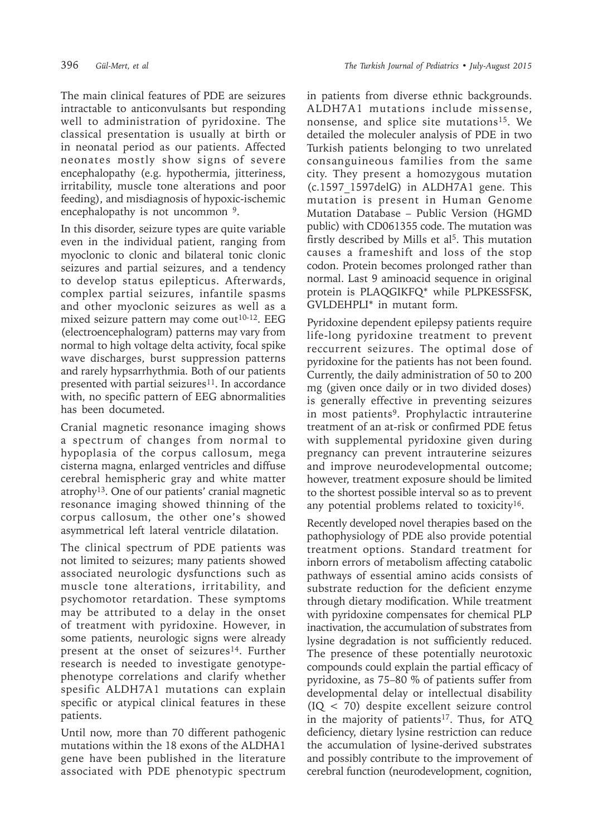The main clinical features of PDE are seizures intractable to anticonvulsants but responding well to administration of pyridoxine. The classical presentation is usually at birth or in neonatal period as our patients. Affected neonates mostly show signs of severe encephalopathy (e.g. hypothermia, jitteriness, irritability, muscle tone alterations and poor feeding), and misdiagnosis of hypoxic-ischemic encephalopathy is not uncommon 9.

In this disorder, seizure types are quite variable even in the individual patient, ranging from myoclonic to clonic and bilateral tonic clonic seizures and partial seizures, and a tendency to develop status epilepticus. Afterwards, complex partial seizures, infantile spasms and other myoclonic seizures as well as a mixed seizure pattern may come out<sup>10-12</sup>. EEG (electroencephalogram) patterns may vary from normal to high voltage delta activity, focal spike wave discharges, burst suppression patterns and rarely hypsarrhythmia. Both of our patients presented with partial seizures<sup>11</sup>. In accordance with, no specific pattern of EEG abnormalities has been documeted.

Cranial magnetic resonance imaging shows a spectrum of changes from normal to hypoplasia of the corpus callosum, mega cisterna magna, enlarged ventricles and diffuse cerebral hemispheric gray and white matter atrophy<sup>13</sup>. One of our patients' cranial magnetic resonance imaging showed thinning of the corpus callosum, the other one's showed asymmetrical left lateral ventricle dilatation.

The clinical spectrum of PDE patients was not limited to seizures; many patients showed associated neurologic dysfunctions such as muscle tone alterations, irritability, and psychomotor retardation. These symptoms may be attributed to a delay in the onset of treatment with pyridoxine. However, in some patients, neurologic signs were already present at the onset of seizures<sup>14</sup>. Further research is needed to investigate genotypephenotype correlations and clarify whether spesific ALDH7A1 mutations can explain specific or atypical clinical features in these patients.

Until now, more than 70 different pathogenic mutations within the 18 exons of the ALDHA1 gene have been published in the literature associated with PDE phenotypic spectrum in patients from diverse ethnic backgrounds. ALDH7A1 mutations include missense, nonsense, and splice site mutations<sup>15</sup>. We detailed the moleculer analysis of PDE in two Turkish patients belonging to two unrelated consanguineous families from the same city. They present a homozygous mutation (c.1597\_1597delG) in ALDH7A1 gene. This mutation is present in Human Genome Mutation Database – Public Version (HGMD public) with CD061355 code. The mutation was firstly described by Mills et al<sup>5</sup>. This mutation causes a frameshift and loss of the stop codon. Protein becomes prolonged rather than normal. Last 9 aminoacid sequence in original protein is PLAQGIKFQ\* while PLPKESSFSK, GVLDEHPLI\* in mutant form.

Pyridoxine dependent epilepsy patients require life-long pyridoxine treatment to prevent reccurrent seizures. The optimal dose of pyridoxine for the patients has not been found. Currently, the daily administration of 50 to 200 mg (given once daily or in two divided doses) is generally effective in preventing seizures in most patients<sup>9</sup>. Prophylactic intrauterine treatment of an at-risk or confirmed PDE fetus with supplemental pyridoxine given during pregnancy can prevent intrauterine seizures and improve neurodevelopmental outcome; however, treatment exposure should be limited to the shortest possible interval so as to prevent any potential problems related to toxicity<sup>16</sup>.

Recently developed novel therapies based on the pathophysiology of PDE also provide potential treatment options. Standard treatment for inborn errors of metabolism affecting catabolic pathways of essential amino acids consists of substrate reduction for the deficient enzyme through dietary modification. While treatment with pyridoxine compensates for chemical PLP inactivation, the accumulation of substrates from lysine degradation is not sufficiently reduced. The presence of these potentially neurotoxic compounds could explain the partial efficacy of pyridoxine, as 75–80 % of patients suffer from developmental delay or intellectual disability (IQ < 70) despite excellent seizure control in the majority of patients<sup>17</sup>. Thus, for ATQ deficiency, dietary lysine restriction can reduce the accumulation of lysine-derived substrates and possibly contribute to the improvement of cerebral function (neurodevelopment, cognition,